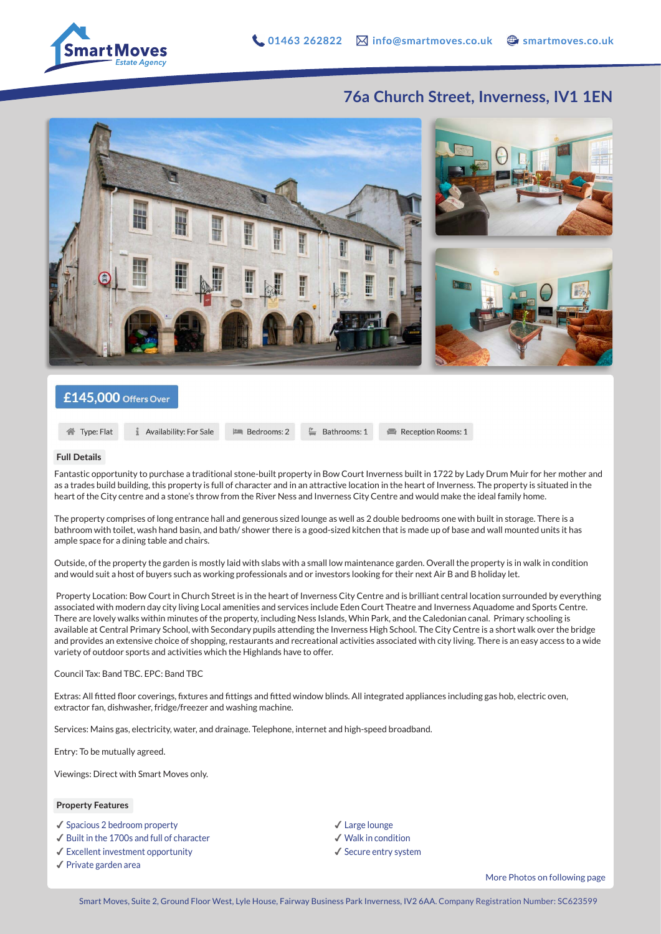

Reception Rooms: 1

## **76a Church Street, Inverness, IV1 1EN**



## £145,000 Offers Over

合 Type: Flat

Availability: For Sale

**Full Details**

Fantastic opportunity to purchase a traditional stone-built property in Bow Court Inverness built in 1722 by Lady Drum Muir for her mother and as a trades build building, this property is full of character and in an attractive location in the heart of Inverness. The property is situated in the heart of the City centre and a stone's throw from the River Ness and Inverness City Centre and would make the ideal family home.

 $\equiv$  Bathrooms: 1

The property comprises of long entrance hall and generous sized lounge as well as 2 double bedrooms one with built in storage. There is a bathroom with toilet, wash hand basin, and bath/ shower there is a good-sized kitchen that is made up of base and wall mounted units it has ample space for a dining table and chairs.

**PM** Bedrooms: 2

Outside, of the property the garden is mostly laid with slabs with a small low maintenance garden. Overall the property is in walk in condition and would suit a host of buyers such as working professionals and or investors looking for their next Air B and B holiday let.

 Property Location: Bow Court in Church Street is in the heart of Inverness City Centre and is brilliant central location surrounded by everything associated with modern day city living Local amenities and services include Eden Court Theatre and Inverness Aquadome and Sports Centre. There are lovely walks within minutes of the property, including Ness Islands, Whin Park, and the Caledonian canal. Primary schooling is available at Central Primary School, with Secondary pupils attending the Inverness High School. The City Centre is a short walk over the bridge and provides an extensive choice of shopping, restaurants and recreational activities associated with city living. There is an easy access to a wide variety of outdoor sports and activities which the Highlands have to offer.

Council Tax: Band TBC. EPC: Band TBC

Extras: All fitted floor coverings, fixtures and fittings and fitted window blinds. All integrated appliances including gas hob, electric oven, extractor fan, dishwasher, fridge/freezer and washing machine.

Services: Mains gas, electricity, water, and drainage. Telephone, internet and high-speed broadband.

Entry: To be mutually agreed.

Viewings: Direct with Smart Moves only.

## **Property Features**

✔︎ Spacious 2 bedroom property

- ✔︎ Built in the 1700s and full of character
- ✔︎ Excellent investment opportunity
- ✔︎ Private garden area
- ✔︎ Large lounge
- ✔︎ Walk in condition
- ✔︎ Secure entry system

More Photos on following page